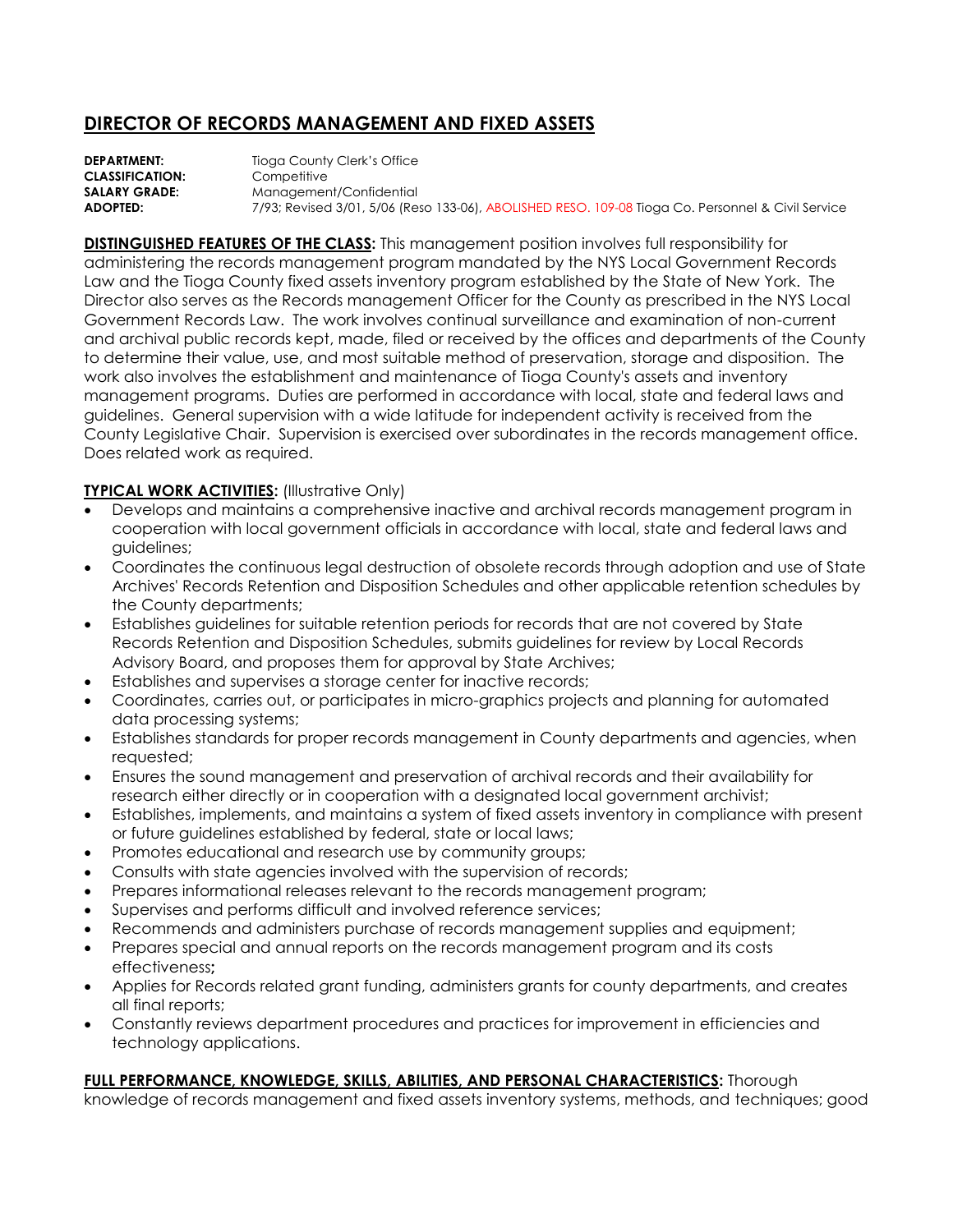## **DIRECTOR OF RECORDS MANAGEMENT AND FIXED ASSETS**

**DEPARTMENT:** Tioga County Clerk's Office **CLASSIFICATION:** Competitive **SALARY GRADE:** Management/Confidential **ADOPTED:** 7/93; Revised 3/01, 5/06 (Reso 133-06), ABOLISHED RESO. 109-08 Tioga Co. Personnel & Civil Service

**DISTINGUISHED FEATURES OF THE CLASS:** This management position involves full responsibility for administering the records management program mandated by the NYS Local Government Records Law and the Tioga County fixed assets inventory program established by the State of New York. The Director also serves as the Records management Officer for the County as prescribed in the NYS Local Government Records Law. The work involves continual surveillance and examination of non-current and archival public records kept, made, filed or received by the offices and departments of the County to determine their value, use, and most suitable method of preservation, storage and disposition. The work also involves the establishment and maintenance of Tioga County's assets and inventory management programs. Duties are performed in accordance with local, state and federal laws and guidelines. General supervision with a wide latitude for independent activity is received from the County Legislative Chair. Supervision is exercised over subordinates in the records management office. Does related work as required.

## **TYPICAL WORK ACTIVITIES:** (Illustrative Only)

- Develops and maintains a comprehensive inactive and archival records management program in cooperation with local government officials in accordance with local, state and federal laws and guidelines;
- Coordinates the continuous legal destruction of obsolete records through adoption and use of State Archives' Records Retention and Disposition Schedules and other applicable retention schedules by the County departments;
- Establishes guidelines for suitable retention periods for records that are not covered by State Records Retention and Disposition Schedules, submits guidelines for review by Local Records Advisory Board, and proposes them for approval by State Archives;
- Establishes and supervises a storage center for inactive records;
- Coordinates, carries out, or participates in micro-graphics projects and planning for automated data processing systems;
- Establishes standards for proper records management in County departments and agencies, when requested;
- Ensures the sound management and preservation of archival records and their availability for research either directly or in cooperation with a designated local government archivist;
- Establishes, implements, and maintains a system of fixed assets inventory in compliance with present or future guidelines established by federal, state or local laws;
- Promotes educational and research use by community groups;
- Consults with state agencies involved with the supervision of records;
- Prepares informational releases relevant to the records management program;
- Supervises and performs difficult and involved reference services;
- Recommends and administers purchase of records management supplies and equipment;
- Prepares special and annual reports on the records management program and its costs effectiveness**;**
- Applies for Records related grant funding, administers grants for county departments, and creates all final reports;
- Constantly reviews department procedures and practices for improvement in efficiencies and technology applications.

## **FULL PERFORMANCE, KNOWLEDGE, SKILLS, ABILITIES, AND PERSONAL CHARACTERISTICS:** Thorough

knowledge of records management and fixed assets inventory systems, methods, and techniques; good